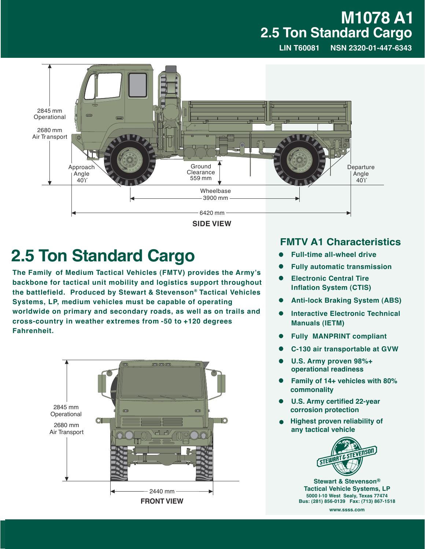## **M1078 A1 2.5 Ton Standard Cargo**

**LIN T60081 NSN 2320-01-447-6343**



**SIDE VIEW**

## **2.5 Ton Standard Cargo**

**The Family of Medium Tactical Vehicles (FMTV) provides the Army's backbone for tactical unit mobility and logistics support throughout the battlefield. Produced by Stewart & Stevenson® Tactical Vehicles Systems, LP, medium vehicles must be capable of operating worldwide on primary and secondary roads, as well as on trails and cross-country in weather extremes from -50 to +120 degrees Fahrenheit.**



## **FMTV A1 Characteristics**

- � **Full-time all-wheel drive**
- � **Fully automatic transmission**
- � **Electronic Central Tire Inflation System (CTIS)**
- � **Anti-lock Braking System (ABS)**
- � **Interactive Electronic Technical Manuals (IETM)**
- � **Fully MANPRINT compliant**
- � **C-130 air transportable at GVW**
- � **U.S. Army proven 98%+ operational readiness**
- � **Family of 14+ vehicles with 80% commonality**
- � **U.S. Army certified 22-year corrosion protection**
- **Highest proven reliability of any tactical vehicle**



**Stewart & Stevenson® Tactical Vehicle Systems, LP 5000 I-10 West Sealy, Texas 77474 Bus: (281) 856-0139 Fax: (713) 867-1518**

**www.ssss.com**